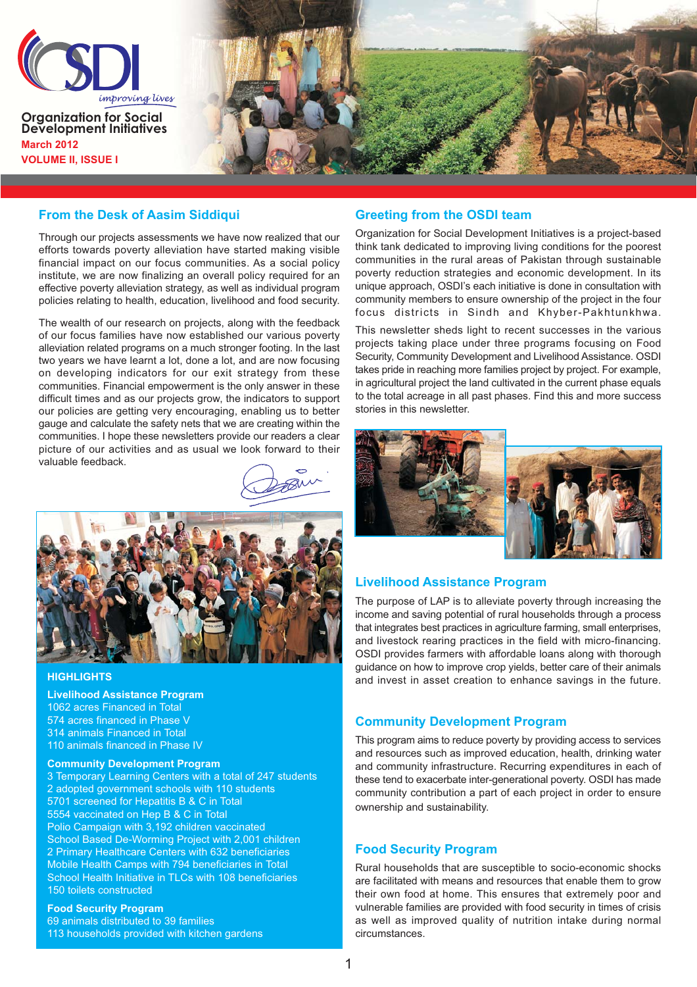

#### **From the Desk of Aasim Siddiqui**

Through our projects assessments we have now realized that our efforts towards poverty alleviation have started making visible financial impact on our focus communities. As a social policy institute, we are now finalizing an overall policy required for an effective poverty alleviation strategy, as well as individual program policies relating to health, education, livelihood and food security.

The wealth of our research on projects, along with the feedback of our focus families have now established our various poverty alleviation related programs on a much stronger footing. In the last two years we have learnt a lot, done a lot, and are now focusing on developing indicators for our exit strategy from these communities. Financial empowerment is the only answer in these difficult times and as our projects grow, the indicators to support our policies are getting very encouraging, enabling us to better gauge and calculate the safety nets that we are creating within the communities. I hope these newsletters provide our readers a clear picture of our activities and as usual we look forward to their valuable feedback



#### **HIGHLIGHTS**

**Livelihood Assistance Program** 1062 acres Financed in Total 574 acres financed in Phase V 314 animals Financed in Total 110 animals financed in Phase IV

#### **Community Development Program**

3 Temporary Learning Centers with a total of 247 students 2 adopted government schools with 110 students 5701 screened for Hepatitis B & C in Total 5554 vaccinated on Hep B & C in Total Polio Campaign with 3,192 children vaccinated School Based De-Worming Project with 2,001 children 2 Primary Healthcare Centers with 632 beneficiaries Mobile Health Camps with 794 beneficiaries in Total School Health Initiative in TLCs with 108 beneficiaries 150 toilets constructed

# **Food Security Program**

69 animals distributed to 39 families 113 households provided with kitchen gardens

### **Greeting from the OSDI team**

Organization for Social Development Initiatives is a project-based think tank dedicated to improving living conditions for the poorest communities in the rural areas of Pakistan through sustainable poverty reduction strategies and economic development. In its unique approach, OSDI's each initiative is done in consultation with community members to ensure ownership of the project in the four focus districts in Sindh and Khyber-Pakhtunkhwa.

This newsletter sheds light to recent successes in the various projects taking place under three programs focusing on Food Security, Community Development and Livelihood Assistance. OSDI takes pride in reaching more families project by project. For example, in agricultural project the land cultivated in the current phase equals to the total acreage in all past phases. Find this and more success stories in this newsletter.



## **Livelihood Assistance Program**

The purpose of LAP is to alleviate poverty through increasing the income and saving potential of rural households through a process that integrates best practices in agriculture farming, small enterprises, and livestock rearing practices in the field with micro-financing. OSDI provides farmers with affordable loans along with thorough guidance on how to improve crop yields, better care of their animals and invest in asset creation to enhance savings in the future.

#### **Community Development Program**

This program aims to reduce poverty by providing access to services and resources such as improved education, health, drinking water and community infrastructure. Recurring expenditures in each of these tend to exacerbate inter-generational poverty. OSDI has made community contribution a part of each project in order to ensure ownership and sustainability.

### **Food Security Program**

Rural households that are susceptible to socio-economic shocks are facilitated with means and resources that enable them to grow their own food at home. This ensures that extremely poor and vulnerable families are provided with food security in times of crisis as well as improved quality of nutrition intake during normal circumstances.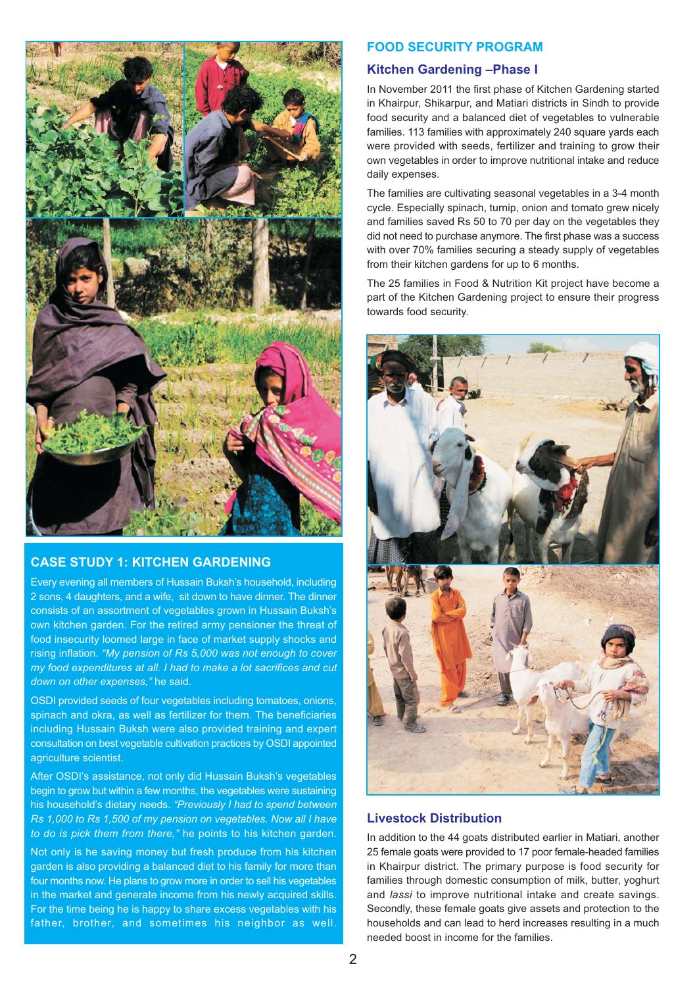

# **CASE STUDY 1: KITCHEN GARDENING**

Every evening all members of Hussain Buksh's household, including 2 sons, 4 daughters, and a wife, sit down to have dinner. The dinner consists of an assortment of vegetables grown in Hussain Buksh's own kitchen garden. For the retired army pensioner the threat of food insecurity loomed large in face of market supply shocks and rising inflation. "My pension of Rs 5,000 was not enough to cover my food expenditures at all. I had to make a lot sacrifices and cut down on other expenses," he said.

OSDI provided seeds of four vegetables including tomatoes, onions. spinach and okra, as well as fertilizer for them. The beneficiaries including Hussain Buksh were also provided training and expert consultation on best vegetable cultivation practices by OSDI appointed agriculture scientist.

After OSDI's assistance, not only did Hussain Buksh's vegetables begin to grow but within a few months, the vegetables were sustaining his household's dietary needs. "Previously I had to spend between Rs 1,000 to Rs 1,500 of my pension on vegetables. Now all I have to do is pick them from there," he points to his kitchen garden.

Not only is he saving money but fresh produce from his kitchen garden is also providing a balanced diet to his family for more than four months now. He plans to grow more in order to sell his vegetables in the market and generate income from his newly acquired skills. For the time being he is happy to share excess vegetables with his father, brother, and sometimes his neighbor as well.

### **FOOD SECURITY PROGRAM**

### Kitchen Gardening-Phase I

In November 2011 the first phase of Kitchen Gardening started in Khairpur, Shikarpur, and Matiari districts in Sindh to provide food security and a balanced diet of vegetables to vulnerable families. 113 families with approximately 240 square yards each were provided with seeds, fertilizer and training to grow their own vegetables in order to improve nutritional intake and reduce daily expenses.

The families are cultivating seasonal vegetables in a 3-4 month cycle. Especially spinach, turnip, onion and tomato grew nicely and families saved Rs 50 to 70 per day on the vegetables they did not need to purchase anymore. The first phase was a success with over 70% families securing a steady supply of vegetables from their kitchen gardens for up to 6 months.

The 25 families in Food & Nutrition Kit project have become a part of the Kitchen Gardening project to ensure their progress towards food security.



## **Livestock Distribution**

In addition to the 44 goats distributed earlier in Matiari, another 25 female goats were provided to 17 poor female-headed families in Khairpur district. The primary purpose is food security for families through domestic consumption of milk, butter, yoghurt and lassi to improve nutritional intake and create savings. Secondly, these female goats give assets and protection to the households and can lead to herd increases resulting in a much needed boost in income for the families.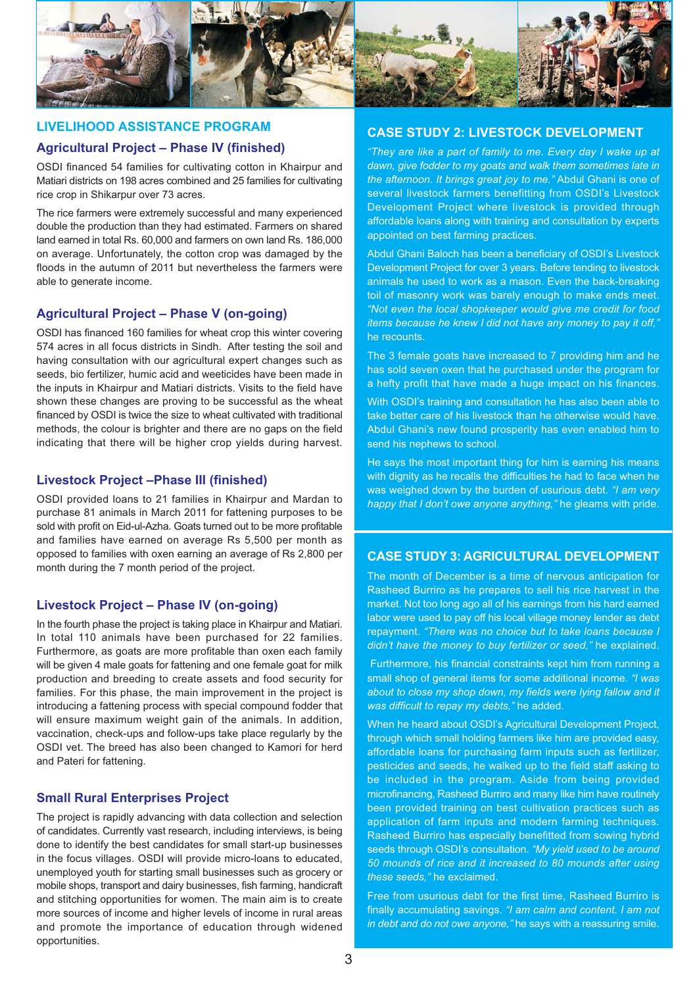

# **LIVELIHOOD ASSISTANCE PROGRAM**

### **Agricultural Project - Phase IV (finished)**

OSDI financed 54 families for cultivating cotton in Khairpur and Matiari districts on 198 acres combined and 25 families for cultivating rice crop in Shikarpur over 73 acres.

The rice farmers were extremely successful and many experienced double the production than they had estimated. Farmers on shared land earned in total Rs. 60,000 and farmers on own land Rs. 186,000 on average. Unfortunately, the cotton crop was damaged by the floods in the autumn of 2011 but nevertheless the farmers were able to generate income.

## **Agricultural Project - Phase V (on-going)**

OSDI has financed 160 families for wheat crop this winter covering 574 acres in all focus districts in Sindh. After testing the soil and having consultation with our agricultural expert changes such as seeds, bio fertilizer, humic acid and weeticides have been made in the inputs in Khairpur and Matiari districts. Visits to the field have shown these changes are proving to be successful as the wheat financed by OSDI is twice the size to wheat cultivated with traditional methods, the colour is brighter and there are no gaps on the field indicating that there will be higher crop yields during harvest.

## **Livestock Project - Phase III (finished)**

OSDI provided loans to 21 families in Khairpur and Mardan to purchase 81 animals in March 2011 for fattening purposes to be sold with profit on Eid-ul-Azha. Goats turned out to be more profitable and families have earned on average Rs 5,500 per month as opposed to families with oxen earning an average of Rs 2,800 per month during the 7 month period of the project.

## **Livestock Project - Phase IV (on-going)**

In the fourth phase the project is taking place in Khairpur and Matiari. In total 110 animals have been purchased for 22 families. Furthermore, as goats are more profitable than oxen each family will be given 4 male goats for fattening and one female goat for milk production and breeding to create assets and food security for families. For this phase, the main improvement in the project is introducing a fattening process with special compound fodder that will ensure maximum weight gain of the animals. In addition, vaccination, check-ups and follow-ups take place regularly by the OSDI vet. The breed has also been changed to Kamori for herd and Pateri for fattening.

## **Small Rural Enterprises Project**

The project is rapidly advancing with data collection and selection of candidates. Currently vast research, including interviews, is being done to identify the best candidates for small start-up businesses in the focus villages. OSDI will provide micro-loans to educated, unemployed youth for starting small businesses such as grocery or mobile shops, transport and dairy businesses, fish farming, handicraft and stitching opportunities for women. The main aim is to create more sources of income and higher levels of income in rural areas and promote the importance of education through widened opportunities.

## **CASE STUDY 2: LIVESTOCK DEVELOPMENT**

"They are like a part of family to me. Every day I wake up at dawn, give fodder to my goats and walk them sometimes late in the afternoon. It brings great joy to me." Abdul Ghani is one of several livestock farmers benefitting from OSDI's Livestock Development Project where livestock is provided through affordable loans along with training and consultation by experts appointed on best farming practices.

Abdul Ghani Baloch has been a beneficiary of OSDI's Livestock Development Project for over 3 years. Before tending to livestock animals he used to work as a mason. Even the back-breaking toil of masonry work was barely enough to make ends meet. "Not even the local shopkeeper would give me credit for food items because he knew I did not have any money to pay it off." he recounts.

The 3 female goats have increased to 7 providing him and he has sold seven oxen that he purchased under the program for a hefty profit that have made a huge impact on his finances.

With OSDI's training and consultation he has also been able to take better care of his livestock than he otherwise would have. Abdul Ghani's new found prosperity has even enabled him to send his nephews to school.

He says the most important thing for him is earning his means with dignity as he recalls the difficulties he had to face when he was weighed down by the burden of usurious debt. "I am very happy that I don't owe anyone anything," he gleams with pride.

## **CASE STUDY 3: AGRICULTURAL DEVELOPMENT**

The month of December is a time of nervous anticipation for Rasheed Burriro as he prepares to sell his rice harvest in the market. Not too long ago all of his earnings from his hard earned labor were used to pay off his local village money lender as debt repayment. "There was no choice but to take loans because I didn't have the money to buy fertilizer or seed," he explained.

Furthermore, his financial constraints kept him from running a small shop of general items for some additional income. "I was about to close my shop down, my fields were lying fallow and it was difficult to repay my debts," he added.

When he heard about OSDI's Agricultural Development Project. through which small holding farmers like him are provided easy. affordable loans for purchasing farm inputs such as fertilizer, pesticides and seeds, he walked up to the field staff asking to be included in the program. Aside from being provided microfinancing. Rasheed Burriro and many like him have routinely been provided training on best cultivation practices such as application of farm inputs and modern farming techniques. Rasheed Burriro has especially benefitted from sowing hybrid seeds through OSDI's consultation. "My yield used to be around 50 mounds of rice and it increased to 80 mounds after using these seeds," he exclaimed.

Free from usurious debt for the first time. Rasheed Burriro is finally accumulating savings. "I am calm and content. I am not in debt and do not owe anyone," he says with a reassuring smile.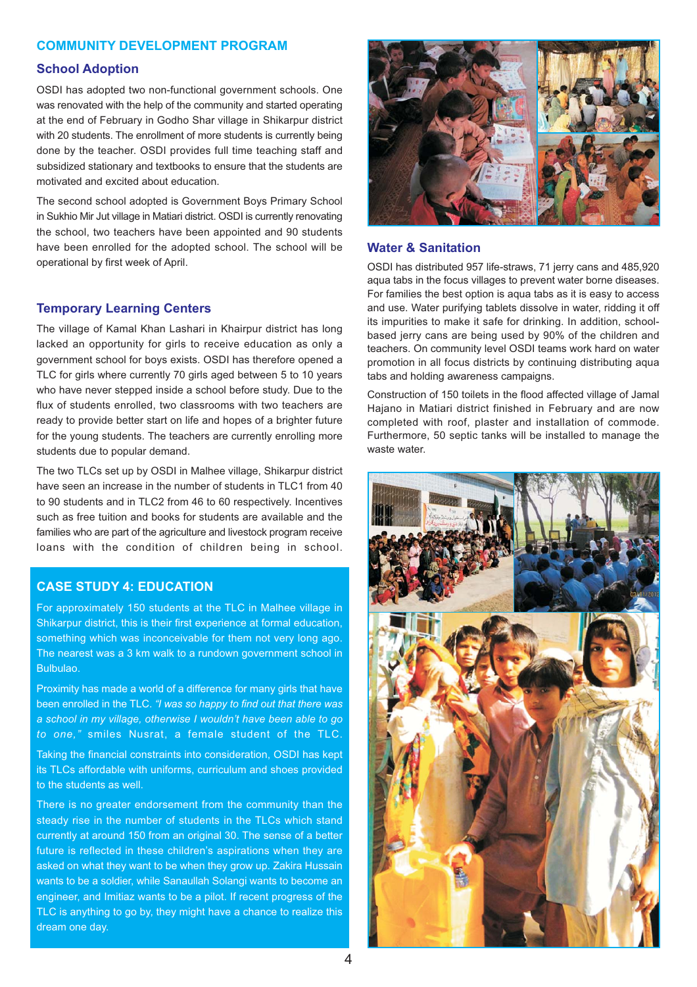## **COMMUNITY DEVELOPMENT PROGRAM**

### **School Adoption**

OSDI has adopted two non-functional government schools. One was renovated with the help of the community and started operating at the end of February in Godho Shar village in Shikarpur district with 20 students. The enrollment of more students is currently being done by the teacher. OSDI provides full time teaching staff and subsidized stationary and textbooks to ensure that the students are motivated and excited about education.

The second school adopted is Government Boys Primary School in Sukhio Mir Jut village in Matiari district. OSDI is currently renovating the school, two teachers have been appointed and 90 students have been enrolled for the adopted school. The school will be operational by first week of April.

#### **Temporary Learning Centers**

The village of Kamal Khan Lashari in Khairpur district has long lacked an opportunity for girls to receive education as only a government school for boys exists. OSDI has therefore opened a TLC for girls where currently 70 girls aged between 5 to 10 years who have never stepped inside a school before study. Due to the flux of students enrolled, two classrooms with two teachers are ready to provide better start on life and hopes of a brighter future for the young students. The teachers are currently enrolling more students due to popular demand.

The two TLCs set up by OSDI in Malhee village. Shikarpur district have seen an increase in the number of students in TLC1 from 40 to 90 students and in TLC2 from 46 to 60 respectively. Incentives such as free tuition and books for students are available and the families who are part of the agriculture and livestock program receive loans with the condition of children being in school.

## **CASE STUDY 4: EDUCATION**

For approximately 150 students at the TLC in Malhee village in Shikarpur district, this is their first experience at formal education, something which was inconceivable for them not very long ago. The nearest was a 3 km walk to a rundown government school in Bulbulao.

Proximity has made a world of a difference for many girls that have been enrolled in the TLC. "I was so happy to find out that there was a school in my village, otherwise I wouldn't have been able to go to one," smiles Nusrat, a female student of the TLC.

Taking the financial constraints into consideration, OSDI has kept its TLCs affordable with uniforms, curriculum and shoes provided to the students as well.

There is no greater endorsement from the community than the steady rise in the number of students in the TLCs which stand currently at around 150 from an original 30. The sense of a better future is reflected in these children's aspirations when they are asked on what they want to be when they grow up. Zakira Hussain wants to be a soldier, while Sanaullah Solangi wants to become an engineer, and Imitiaz wants to be a pilot. If recent progress of the TLC is anything to go by, they might have a chance to realize this dream one day.



#### **Water & Sanitation**

OSDI has distributed 957 life-straws, 71 jerry cans and 485,920 agua tabs in the focus villages to prevent water borne diseases. For families the best option is agua tabs as it is easy to access and use. Water purifying tablets dissolve in water, ridding it off its impurities to make it safe for drinking. In addition, schoolbased jerry cans are being used by 90% of the children and teachers. On community level OSDI teams work hard on water promotion in all focus districts by continuing distributing aqua tabs and holding awareness campaigns.

Construction of 150 toilets in the flood affected village of Jamal Haiano in Matiari district finished in February and are now completed with roof, plaster and installation of commode. Furthermore, 50 septic tanks will be installed to manage the waste water.

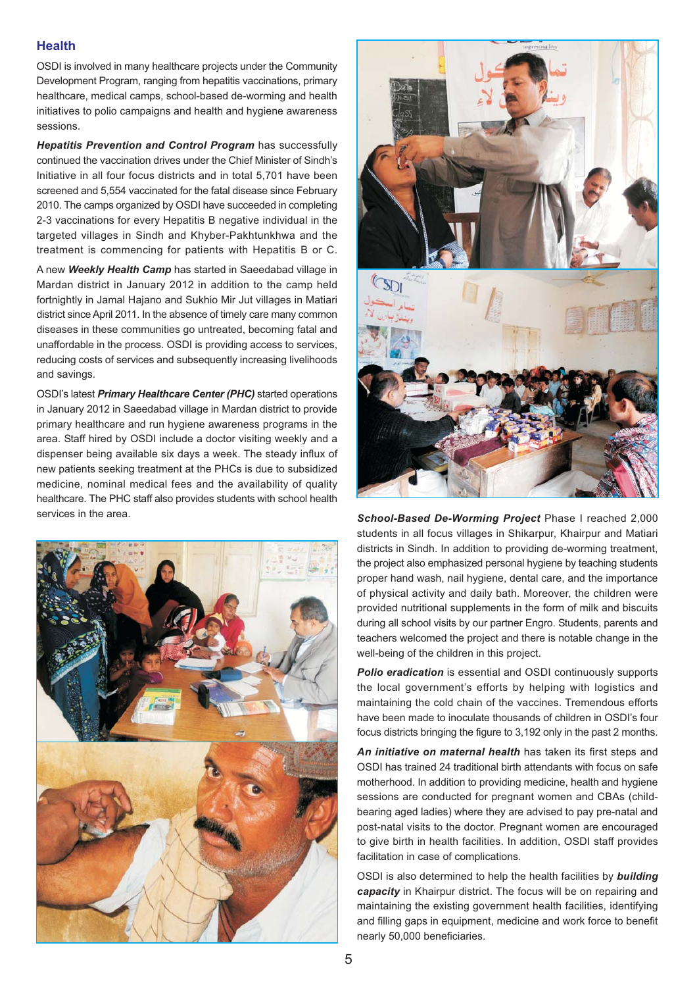## **Health**

OSDI is involved in many healthcare projects under the Community Development Program, ranging from hepatitis vaccinations, primary healthcare, medical camps, school-based de-worming and health initiatives to polio campaigns and health and hygiene awareness sessions.

Hepatitis Prevention and Control Program has successfully continued the vaccination drives under the Chief Minister of Sindh's Initiative in all four focus districts and in total 5.701 have been screened and 5,554 vaccinated for the fatal disease since February 2010. The camps organized by OSDI have succeeded in completing 2-3 vaccinations for every Hepatitis B negative individual in the targeted villages in Sindh and Khyber-Pakhtunkhwa and the treatment is commencing for patients with Hepatitis B or C.

A new Weekly Health Camp has started in Saeedabad village in Mardan district in January 2012 in addition to the camp held fortnightly in Jamal Hajano and Sukhio Mir Jut villages in Matiari district since April 2011. In the absence of timely care many common diseases in these communities go untreated, becoming fatal and unaffordable in the process. OSDI is providing access to services. reducing costs of services and subsequently increasing livelihoods and savings.

OSDI's latest *Primary Healthcare Center (PHC)* started operations in January 2012 in Saeedabad village in Mardan district to provide primary healthcare and run hygiene awareness programs in the area. Staff hired by OSDI include a doctor visiting weekly and a dispenser being available six days a week. The steady influx of new patients seeking treatment at the PHCs is due to subsidized medicine, nominal medical fees and the availability of quality healthcare. The PHC staff also provides students with school health services in the area.





School-Based De-Worming Project Phase I reached 2,000 students in all focus villages in Shikarpur, Khairpur and Matiari districts in Sindh. In addition to providing de-worming treatment, the project also emphasized personal hygiene by teaching students proper hand wash, nail hygiene, dental care, and the importance of physical activity and daily bath. Moreover, the children were provided nutritional supplements in the form of milk and biscuits during all school visits by our partner Engro. Students, parents and teachers welcomed the project and there is notable change in the well-being of the children in this project.

Polio eradication is essential and OSDI continuously supports the local government's efforts by helping with logistics and maintaining the cold chain of the vaccines. Tremendous efforts have been made to inoculate thousands of children in OSDI's four focus districts bringing the figure to 3,192 only in the past 2 months.

An initiative on maternal health has taken its first steps and OSDI has trained 24 traditional birth attendants with focus on safe motherhood. In addition to providing medicine, health and hygiene sessions are conducted for pregnant women and CBAs (childbearing aged ladies) where they are advised to pay pre-natal and post-natal visits to the doctor. Pregnant women are encouraged to give birth in health facilities. In addition, OSDI staff provides facilitation in case of complications.

OSDI is also determined to help the health facilities by building capacity in Khairpur district. The focus will be on repairing and maintaining the existing government health facilities, identifying and filling gaps in equipment, medicine and work force to benefit nearly 50,000 beneficiaries.